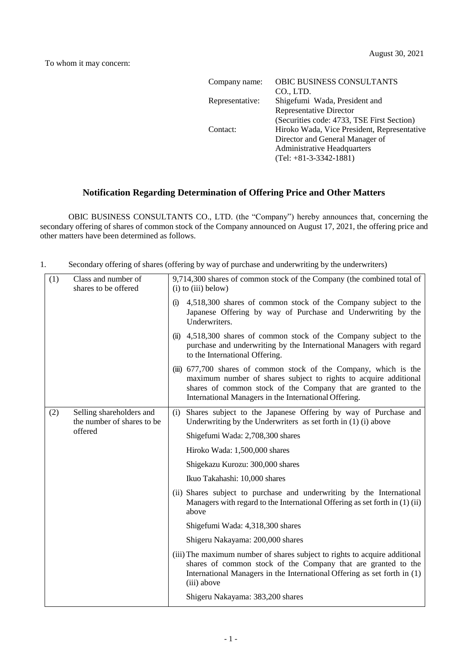| <b>OBIC BUSINESS CONSULTANTS</b>            |
|---------------------------------------------|
| CO., LTD.                                   |
| Shigefumi Wada, President and               |
| <b>Representative Director</b>              |
| (Securities code: 4733, TSE First Section)  |
| Hiroko Wada, Vice President, Representative |
| Director and General Manager of             |
| <b>Administrative Headquarters</b>          |
| $(Tel: +81-3-3342-1881)$                    |
|                                             |

## **Notification Regarding Determination of Offering Price and Other Matters**

OBIC BUSINESS CONSULTANTS CO., LTD. (the "Company") hereby announces that, concerning the secondary offering of shares of common stock of the Company announced on August 17, 2021, the offering price and other matters have been determined as follows.

1. Secondary offering of shares (offering by way of purchase and underwriting by the underwriters)

| (1) | Class and number of<br>shares to be offered                       | 9,714,300 shares of common stock of the Company (the combined total of<br>$(i)$ to $(iii)$ below)                                                                                                                                                               |
|-----|-------------------------------------------------------------------|-----------------------------------------------------------------------------------------------------------------------------------------------------------------------------------------------------------------------------------------------------------------|
|     |                                                                   | 4,518,300 shares of common stock of the Company subject to the<br>(i)<br>Japanese Offering by way of Purchase and Underwriting by the<br>Underwriters.                                                                                                          |
|     |                                                                   | 4,518,300 shares of common stock of the Company subject to the<br>(ii)<br>purchase and underwriting by the International Managers with regard<br>to the International Offering.                                                                                 |
|     |                                                                   | (iii) 677,700 shares of common stock of the Company, which is the<br>maximum number of shares subject to rights to acquire additional<br>shares of common stock of the Company that are granted to the<br>International Managers in the International Offering. |
| (2) | Selling shareholders and<br>the number of shares to be<br>offered | Shares subject to the Japanese Offering by way of Purchase and<br>(i)<br>Underwriting by the Underwriters as set forth in $(1)$ (i) above                                                                                                                       |
|     |                                                                   | Shigefumi Wada: 2,708,300 shares                                                                                                                                                                                                                                |
|     |                                                                   | Hiroko Wada: 1,500,000 shares                                                                                                                                                                                                                                   |
|     |                                                                   | Shigekazu Kurozu: 300,000 shares                                                                                                                                                                                                                                |
|     |                                                                   | Ikuo Takahashi: 10,000 shares                                                                                                                                                                                                                                   |
|     |                                                                   | (ii) Shares subject to purchase and underwriting by the International<br>Managers with regard to the International Offering as set forth in (1) (ii)<br>above                                                                                                   |
|     |                                                                   | Shigefumi Wada: 4,318,300 shares                                                                                                                                                                                                                                |
|     |                                                                   | Shigeru Nakayama: 200,000 shares                                                                                                                                                                                                                                |
|     |                                                                   | (iii) The maximum number of shares subject to rights to acquire additional<br>shares of common stock of the Company that are granted to the<br>International Managers in the International Offering as set forth in (1)<br>(iii) above                          |
|     |                                                                   | Shigeru Nakayama: 383,200 shares                                                                                                                                                                                                                                |